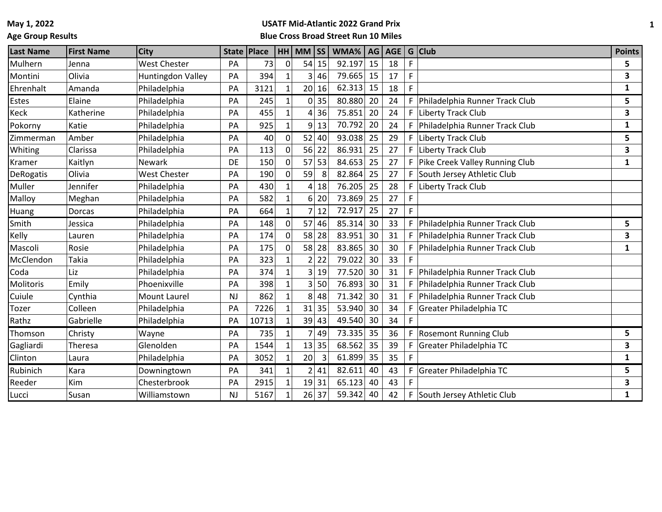**Age Group Results**

# **USATF Mid-Atlantic 2022 Grand Prix**

**Blue Cross Broad Street Run 10 Miles**

| <b>Last Name</b> | <b>First Name</b> | <b>City</b>         | State   Place |       |          | HH MM SS        |       | WMA%   AG   AGE   G   Club |    |    |    |                                | <b>Points</b> |
|------------------|-------------------|---------------------|---------------|-------|----------|-----------------|-------|----------------------------|----|----|----|--------------------------------|---------------|
| Mulhern          | Jenna             | West Chester        | PA            | 73    |          | 54              | 15    | 92.197                     | 15 | 18 | F  |                                | 5             |
| Montini          | Olivia            | Huntingdon Valley   | PA            | 394   |          | 3               | 46    | 79.665                     | 15 | 17 | F  |                                | 3             |
| Ehrenhalt        | Amanda            | Philadelphia        | PA            | 3121  |          | 20 <sup>2</sup> | 16    | 62.313                     | 15 | 18 | F. |                                | $\mathbf{1}$  |
| Estes            | Elaine            | Philadelphia        | PA            | 245   |          |                 | 0 35  | 80.880                     | 20 | 24 | F. | Philadelphia Runner Track Club | 5.            |
| Keck             | Katherine         | Philadelphia        | PA            | 455   |          | $\vert 4 \vert$ | 36    | 75.851                     | 20 | 24 | F. | <b>Liberty Track Club</b>      | 3             |
| Pokorny          | Katie             | Philadelphia        | PA            | 925   |          | 9 <sup>1</sup>  | 13    | 70.792                     | 20 | 24 | F  | Philadelphia Runner Track Club | $\mathbf{1}$  |
| Zimmerman        | Amber             | Philadelphia        | PA            | 40    | $\Omega$ | 52              | 40    | 93.038                     | 25 | 29 | F. | Liberty Track Club             | 5             |
| Whiting          | Clarissa          | Philadelphia        | PA            | 113   | $\Omega$ | 56              | 22    | 86.931                     | 25 | 27 | F. | Liberty Track Club             | 3             |
| Kramer           | Kaitlyn           | Newark              | DE            | 150   |          | 57              | 53    | 84.653                     | 25 | 27 | F. | Pike Creek Valley Running Club | 1             |
| <b>DeRogatis</b> | Olivia            | West Chester        | PA            | 190   | $\Omega$ | 59              | 8     | 82.864                     | 25 | 27 | F. | South Jersey Athletic Club     |               |
| Muller           | Jennifer          | Philadelphia        | PA            | 430   |          | $\vert 4 \vert$ | 18    | 76.205                     | 25 | 28 | F. | Liberty Track Club             |               |
| Malloy           | Meghan            | Philadelphia        | PA            | 582   |          | 6               | 20    | 73.869                     | 25 | 27 | F  |                                |               |
| Huang            | Dorcas            | Philadelphia        | PA            | 664   |          | 7               | 12    | 72.917                     | 25 | 27 | F. |                                |               |
| Smith            | Jessica           | Philadelphia        | PA            | 148   | $\Omega$ |                 | 57 46 | 85.314                     | 30 | 33 | F. | Philadelphia Runner Track Club | 5.            |
| Kelly            | Lauren            | Philadelphia        | PA            | 174   | $\Omega$ | 58              | 28    | 83.951                     | 30 | 31 | F. | Philadelphia Runner Track Club | 3             |
| Mascoli          | Rosie             | Philadelphia        | PA            | 175   |          | 58              | 28    | 83.865                     | 30 | 30 | F. | Philadelphia Runner Track Club | $\mathbf{1}$  |
| McClendon        | <b>Takia</b>      | Philadelphia        | PA            | 323   |          | $\mathsf{2}$    | 22    | 79.022                     | 30 | 33 |    |                                |               |
| Coda             | Liz               | Philadelphia        | PA            | 374   |          | 3               | 19    | 77.520                     | 30 | 31 | F. | Philadelphia Runner Track Club |               |
| <b>Molitoris</b> | Emily             | Phoenixville        | PA            | 398   |          | $\mathsf{3}$    | 50    | 76.893                     | 30 | 31 | F. | Philadelphia Runner Track Club |               |
| Cuiule           | Cynthia           | <b>Mount Laurel</b> | <b>NJ</b>     | 862   |          | 8               | 48    | 71.342                     | 30 | 31 | F. | Philadelphia Runner Track Club |               |
| Tozer            | Colleen           | Philadelphia        | PA            | 7226  |          | 31              | 35    | 53.940                     | 30 | 34 | F. | Greater Philadelphia TC        |               |
| Rathz            | Gabrielle         | Philadelphia        | PA            | 10713 |          |                 | 39 43 | 49.540                     | 30 | 34 | F  |                                |               |
| Thomson          | Christy           | Wayne               | PA            | 735   |          |                 | 49    | 73.335                     | 35 | 36 |    | F Rosemont Running Club        | 5             |
| Gagliardi        | Theresa           | Glenolden           | PA            | 1544  |          | 13              | 35    | 68.562                     | 35 | 39 | F. | Greater Philadelphia TC        | 3             |
| Clinton          | Laura             | Philadelphia        | PA            | 3052  |          | 20              | 3     | 61.899                     | 35 | 35 | F. |                                | $\mathbf{1}$  |
| Rubinich         | Kara              | Downingtown         | PA            | 341   |          | 2               | 41    | 82.611                     | 40 | 43 | F. | Greater Philadelphia TC        | 5             |
| Reeder           | Kim               | Chesterbrook        | PA            | 2915  |          | 19              | 31    | 65.123                     | 40 | 43 |    |                                | 3             |
| Lucci            | Susan             | Williamstown        | <b>NJ</b>     | 5167  |          |                 | 26 37 | 59.342                     | 40 | 42 |    | F South Jersey Athletic Club   | $\mathbf{1}$  |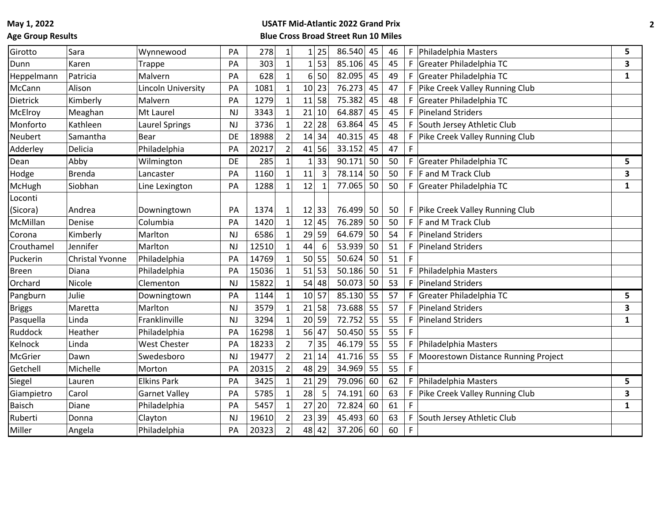## **Age Group Results**

| Girotto       | Sara            | Wynnewood             | PA        | 278   | 1              | 25<br>1                | 86.540      | 45 | 46 | F.          | Philadelphia Masters                | 5            |
|---------------|-----------------|-----------------------|-----------|-------|----------------|------------------------|-------------|----|----|-------------|-------------------------------------|--------------|
| Dunn          | Karen           | Trappe                | PA        | 303   |                | 53<br>$1\vert$         | 85.106      | 45 | 45 | F           | Greater Philadelphia TC             | 3            |
| Heppelmann    | Patricia        | Malvern               | PA        | 628   |                | 50<br>6                | 82.095      | 45 | 49 | F           | Greater Philadelphia TC             | 1            |
| McCann        | Alison          | Lincoln University    | PA        | 1081  |                | 23<br>10               | 76.273      | 45 | 47 | F.          | Pike Creek Valley Running Club      |              |
| Dietrick      | Kimberly        | Malvern               | PA        | 1279  |                | 11<br>58               | 75.382      | 45 | 48 | F           | Greater Philadelphia TC             |              |
| McElroy       | Meaghan         | Mt Laurel             | <b>NJ</b> | 3343  |                | 21<br>10               | 64.887      | 45 | 45 | F.          | <b>Pineland Striders</b>            |              |
| Monforto      | Kathleen        | <b>Laurel Springs</b> | <b>NJ</b> | 3736  |                | 28<br>22               | 63.864      | 45 | 45 | F.          | South Jersey Athletic Club          |              |
| Neubert       | Samantha        | <b>Bear</b>           | DE        | 18988 |                | 34<br>14               | 40.315      | 45 | 48 | F           | Pike Creek Valley Running Club      |              |
| Adderley      | Delicia         | Philadelphia          | PA        | 20217 | $\overline{2}$ | 56<br>41               | 33.152      | 45 | 47 | $\mathsf F$ |                                     |              |
| Dean          | Abby            | Wilmington            | DE        | 285   |                | 33<br>$\mathbf{1}$     | 90.171      | 50 | 50 | F.          | Greater Philadelphia TC             | 5            |
| Hodge         | <b>Brenda</b>   | Lancaster             | PA        | 1160  |                | $\overline{3}$<br>11   | 78.114      | 50 | 50 | F.          | <b>F</b> and M Track Club           | 3            |
| McHugh        | Siobhan         | Line Lexington        | PA        | 1288  |                | 12<br>$\mathbf{1}$     | 77.065      | 50 | 50 | F           | <b>Greater Philadelphia TC</b>      | $\mathbf{1}$ |
| Loconti       |                 |                       |           |       |                |                        |             |    |    |             |                                     |              |
| (Sicora)      | Andrea          | Downingtown           | PA        | 1374  |                | 12<br>33               | 76.499      | 50 | 50 |             | F Pike Creek Valley Running Club    |              |
| McMillan      | Denise          | Columbia              | PA        | 1420  |                | 12<br>45               | 76.289      | 50 | 50 | F.          | F and M Track Club                  |              |
| Corona        | Kimberly        | Marlton               | <b>NJ</b> | 6586  |                | 29<br>59               | 64.679      | 50 | 54 | F.          | <b>Pineland Striders</b>            |              |
| Crouthamel    | Jennifer        | Marlton               | <b>NJ</b> | 12510 |                | 44<br>$6 \overline{6}$ | 53.939      | 50 | 51 | F           | <b>Pineland Striders</b>            |              |
| Puckerin      | Christal Yvonne | Philadelphia          | PA        | 14769 |                | 50<br>55               | 50.624      | 50 | 51 |             |                                     |              |
| <b>Breen</b>  | Diana           | Philadelphia          | PA        | 15036 |                | 53<br>51               | 50.186      | 50 | 51 | F           | Philadelphia Masters                |              |
| Orchard       | Nicole          | Clementon             | <b>NJ</b> | 15822 |                | 48<br>54               | $50.073$ 50 |    | 53 | F.          | <b>Pineland Striders</b>            |              |
| Pangburn      | Julie           | Downingtown           | PA        | 1144  |                | 10 57                  | 85.130      | 55 | 57 | F.          | Greater Philadelphia TC             | 5            |
| <b>Briggs</b> | Maretta         | Marlton               | <b>NJ</b> | 3579  |                | 21<br>58               | 73.688      | 55 | 57 | F.          | <b>Pineland Striders</b>            | 3            |
| Pasquella     | Linda           | Franklinville         | <b>NJ</b> | 3294  |                | 20<br>59               | 72.752      | 55 | 55 | F           | <b>Pineland Striders</b>            | $\mathbf{1}$ |
| Ruddock       | Heather         | Philadelphia          | PA        | 16298 |                | 56<br>47               | 50.450      | 55 | 55 | F           |                                     |              |
| Kelnock       | Linda           | <b>West Chester</b>   | PA        | 18233 |                | 35<br>7                | 46.179      | 55 | 55 | F           | Philadelphia Masters                |              |
| McGrier       | Dawn            | Swedesboro            | <b>NJ</b> | 19477 |                | 21<br>14               | 41.716      | 55 | 55 | F           | Moorestown Distance Running Project |              |
| Getchell      | Michelle        | Morton                | PA        | 20315 |                | 48<br>29               | 34.969      | 55 | 55 | F           |                                     |              |
| Siegel        | Lauren          | <b>Elkins Park</b>    | PA        | 3425  |                | 21<br>29               | 79.096      | 60 | 62 | F.          | Philadelphia Masters                | 5            |
| Giampietro    | Carol           | <b>Garnet Valley</b>  | PA        | 5785  |                | 5<br>28                | 74.191      | 60 | 63 | F           | Pike Creek Valley Running Club      | 3            |
| <b>Baisch</b> | Diane           | Philadelphia          | PA        | 5457  |                | 27<br>20               | 72.824      | 60 | 61 |             |                                     | 1            |
| Ruberti       | Donna           | Clayton               | <b>NJ</b> | 19610 |                | 23<br>39               | 45.493      | 60 | 63 | F           | South Jersey Athletic Club          |              |
| Miller        | Angela          | Philadelphia          | PA        | 20323 | $\overline{2}$ | 48<br>42               | 37.206 60   |    | 60 | F           |                                     |              |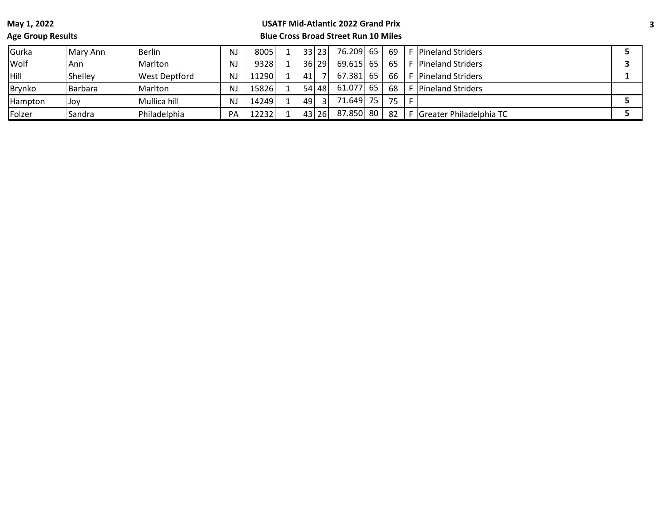# **Age Group Results**

| Gurka          | Mary Ann | Berlin        | <b>NJ</b> | 8005  | 33   | 23 <sup>1</sup> | 76.209 65   |    | 69 |    | <b>F</b> Pineland Striders |  |
|----------------|----------|---------------|-----------|-------|------|-----------------|-------------|----|----|----|----------------------------|--|
| <b>Wolf</b>    | Ann      | Marlton       | <b>NJ</b> | 9328  | 36 l | 29              | $69.615$ 65 |    | 65 | E. | <b>Pineland Striders</b>   |  |
| <b>Hill</b>    | Shelley  | West Deptford | <b>NJ</b> | 1290  | 41   |                 | 67.381      | 65 | 66 |    | <b>Pineland Striders</b>   |  |
| <b>Brynko</b>  | Barbara  | Marlton       | <b>NJ</b> | 15826 | 54 l | 48              | 61.077      | 65 | 68 | c. | <b>Pineland Striders</b>   |  |
| Hampton        | Joy      | Mullica hill  | <b>NJ</b> | 14249 | 49   |                 | 71.649      | 75 | 75 |    |                            |  |
| <b> Folzer</b> | Sandra   | Philadelphia  | PA        | 12232 | 43   | 26              | 87.850      | 80 | 82 |    | F Greater Philadelphia TC  |  |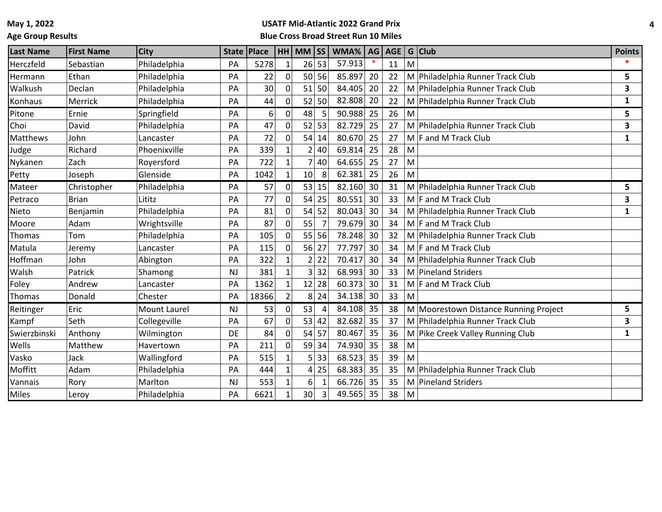**Age Group Results**

| <b>Last Name</b> | <b>First Name</b> | <b>City</b>         | <b>State</b> | <b>Place</b> |                | $HH$ MM $ SS $ |                | WMA%      | AG |    |   | $AGE$ G Club                          | <b>Points</b> |
|------------------|-------------------|---------------------|--------------|--------------|----------------|----------------|----------------|-----------|----|----|---|---------------------------------------|---------------|
| Herczfeld        | Sebastian         | Philadelphia        | PA           | 5278         |                |                | 26 53          | 57.913    |    | 11 | M |                                       |               |
| Hermann          | Ethan             | Philadelphia        | PA           | 22           | 0              |                | 50 56          | 85.897    | 20 | 22 |   | M Philadelphia Runner Track Club      | 5             |
| Walkush          | Declan            | Philadelphia        | PA           | 30           |                |                | 51 50          | 84.405    | 20 | 22 |   | M Philadelphia Runner Track Club      | 3             |
| Konhaus          | Merrick           | Philadelphia        | PA           | 44           | 0              | 52             | 50             | 82.808    | 20 | 22 |   | M Philadelphia Runner Track Club      | 1             |
| Pitone           | Ernie             | Springfield         | PA           | 6            | $\overline{0}$ | 48             | 5              | 90.988    | 25 | 26 | M |                                       | 5             |
| Choi             | David             | Philadelphia        | PA           | 47           | 0              | 52             | 53             | 82.729    | 25 | 27 |   | M Philadelphia Runner Track Club      | 3             |
| Matthews         | John              | Lancaster           | PA           | 72           | 0              | 54             | 14             | 80.670    | 25 | 27 |   | $M$ F and M Track Club                | 1             |
| Judge            | Richard           | Phoenixville        | PA           | 339          |                | $\overline{2}$ | 40             | 69.814    | 25 | 28 | M |                                       |               |
| Nykanen          | Zach              | Royersford          | PA           | 722          | 1              | 7              | 40             | 64.655    | 25 | 27 | M |                                       |               |
| Petty            | Joseph            | Glenside            | PA           | 1042         |                | 10             | 8              | 62.381    | 25 | 26 | M |                                       |               |
| Mateer           | Christopher       | Philadelphia        | PA           | 57           | $\Omega$       | 53             | 15             | 82.160    | 30 | 31 |   | M Philadelphia Runner Track Club      | 5             |
| Petraco          | <b>Brian</b>      | Lititz              | PA           | 77           | O              | 54             | 25             | 80.551    | 30 | 33 |   | $M \mid F$ and M Track Club           | 3             |
| Nieto            | Benjamin          | Philadelphia        | PA           | 81           |                | 54             | 52             | 80.043    | 30 | 34 |   | M Philadelphia Runner Track Club      | 1             |
| Moore            | Adam              | Wrightsville        | PA           | 87           |                | 55             |                | 79.679    | 30 | 34 |   | M F and M Track Club                  |               |
| Thomas           | Tom               | Philadelphia        | PA           | 105          |                | 55             | 56             | 78.248    | 30 | 32 |   | M Philadelphia Runner Track Club      |               |
| Matula           | Jeremy            | Lancaster           | PA           | 115          | 0              | 56             | 27             | 77.797    | 30 | 34 |   | $M$ F and M Track Club                |               |
| Hoffman          | John              | Abington            | PA           | 322          |                | 2              | 22             | 70.417    | 30 | 34 |   | M Philadelphia Runner Track Club      |               |
| Walsh            | Patrick           | Shamong             | <b>NJ</b>    | 381          |                | 3              | 32             | 68.993    | 30 | 33 |   | M Pineland Striders                   |               |
| Foley            | Andrew            | Lancaster           | PA           | 1362         |                | 12             | 28             | 60.373    | 30 | 31 |   | M F and M Track Club                  |               |
| Thomas           | Donald            | Chester             | PA           | 18366        |                | 8              | 24             | 34.138    | 30 | 33 | M |                                       |               |
| Reitinger        | Eric              | <b>Mount Laurel</b> | <b>NJ</b>    | 53           | 0              | 53             | $\overline{4}$ | 84.108    | 35 | 38 |   | M Moorestown Distance Running Project | 5             |
| Kampf            | Seth              | Collegeville        | PA           | 67           |                | 53             | 42             | 82.682    | 35 | 37 |   | M Philadelphia Runner Track Club      | 3             |
| Swierzbinski     | Anthony           | Wilmington          | DE           | 84           |                | 54             | 57             | 80.467    | 35 | 36 |   | M Pike Creek Valley Running Club      | 1             |
| Wells            | Matthew           | Havertown           | PA           | 211          |                | 59             | 34             | 74.930    | 35 | 38 | M |                                       |               |
| Vasko            | Jack              | Wallingford         | PA           | 515          |                | 5              | 33             | 68.523    | 35 | 39 | M |                                       |               |
| Moffitt          | Adam              | Philadelphia        | PA           | 444          |                | 4              | 25             | 68.383    | 35 | 35 |   | M Philadelphia Runner Track Club      |               |
| Vannais          | Rory              | Marlton             | <b>NJ</b>    | 553          |                | 6              | $\mathbf{1}$   | 66.726    | 35 | 35 |   | M Pineland Striders                   |               |
| Miles            | Lerov             | Philadelphia        | PA           | 6621         |                | 30             | 3              | 49.565 35 |    | 38 | M |                                       |               |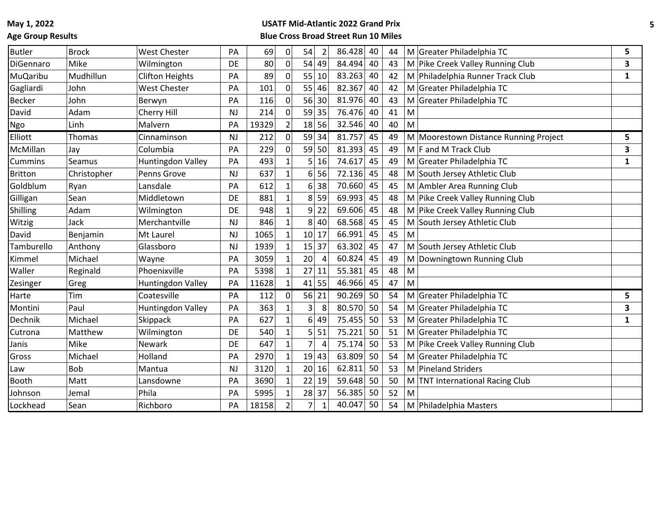## **Age Group Results**

| <b>Butler</b>   | <b>Brock</b> | <b>West Chester</b>      | PA        | 69    | 0            | 54              | $\overline{2}$ | 86.428 | 40 | 44 |   | M Greater Philadelphia TC             | 5            |
|-----------------|--------------|--------------------------|-----------|-------|--------------|-----------------|----------------|--------|----|----|---|---------------------------------------|--------------|
| DiGennaro       | Mike         | Wilmington               | DE        | 80    | 0            | 54              | 49             | 84.494 | 40 | 43 |   | M Pike Creek Valley Running Club      | 3            |
| <b>MuQaribu</b> | Mudhillun    | <b>Clifton Heights</b>   | PA        | 89    | $\Omega$     | 55              | 10             | 83.263 | 40 | 42 |   | M Philadelphia Runner Track Club      | $\mathbf{1}$ |
| Gagliardi       | John         | <b>West Chester</b>      | PA        | 101   | 0            | 55              | 46             | 82.367 | 40 | 42 |   | M Greater Philadelphia TC             |              |
| <b>Becker</b>   | John         | Berwyn                   | PA        | 116   | 0            | 56 30           |                | 81.976 | 40 | 43 |   | M Greater Philadelphia TC             |              |
| David           | Adam         | Cherry Hill              | <b>NJ</b> | 214   | $\Omega$     | 59 35           |                | 76.476 | 40 | 41 | M |                                       |              |
| Ngo             | Linh         | Malvern                  | PA        | 19329 |              | 18 56           |                | 32.546 | 40 | 40 | M |                                       |              |
| Elliott         | Thomas       | Cinnaminson              | <b>NJ</b> | 212   | $\Omega$     | 59 34           |                | 81.757 | 45 | 49 |   | M Moorestown Distance Running Project | 5.           |
| McMillan        | Jay          | Columbia                 | PA        | 229   | 0            | 59 50           |                | 81.393 | 45 | 49 |   | M F and M Track Club                  | 3            |
| Cummins         | Seamus       | Huntingdon Valley        | PA        | 493   | 1            | 5               | 16             | 74.617 | 45 | 49 |   | M Greater Philadelphia TC             | $\mathbf{1}$ |
| <b>Britton</b>  | Christopher  | Penns Grove              | <b>NJ</b> | 637   | 1            | 61              | 56             | 72.136 | 45 | 48 |   | M South Jersey Athletic Club          |              |
| Goldblum        | Ryan         | Lansdale                 | PA        | 612   | $1\vert$     | 61              | 38             | 70.660 | 45 | 45 |   | M Ambler Area Running Club            |              |
| Gilligan        | Sean         | Middletown               | DE        | 881   | 1            | 8               | 59             | 69.993 | 45 | 48 |   | M Pike Creek Valley Running Club      |              |
| Shilling        | Adam         | Wilmington               | DE        | 948   | 1            | 9 <sup> </sup>  | 22             | 69.606 | 45 | 48 |   | M Pike Creek Valley Running Club      |              |
| Witzig          | Jack         | Merchantville            | <b>NJ</b> | 846   |              | 8               | 40             | 68.568 | 45 | 45 |   | M South Jersey Athletic Club          |              |
| David           | Benjamin     | Mt Laurel                | <b>NJ</b> | 1065  | 1            | 10 17           |                | 66.991 | 45 | 45 | M |                                       |              |
| Tamburello      | Anthony      | Glassboro                | <b>NJ</b> | 1939  |              | 15              | 37             | 63.302 | 45 | 47 |   | M South Jersey Athletic Club          |              |
| Kimmel          | Michael      | Wayne                    | PA        | 3059  | $\mathbf{1}$ | 20              | $\overline{4}$ | 60.824 | 45 | 49 | M | Downingtown Running Club              |              |
| Waller          | Reginald     | Phoenixville             | PA        | 5398  |              | 27              | 11             | 55.381 | 45 | 48 | M |                                       |              |
| Zesinger        | Greg         | Huntingdon Valley        | PA        | 11628 |              | 41 55           |                | 46.966 | 45 | 47 | M |                                       |              |
| Harte           | Tim          | Coatesville              | PA        | 112   | $\Omega$     | 56 21           |                | 90.269 | 50 | 54 |   | M Greater Philadelphia TC             | 5            |
| Montini         | Paul         | <b>Huntingdon Valley</b> | PA        | 363   |              | $\mathsf{3}$    | 8              | 80.570 | 50 | 54 |   | M Greater Philadelphia TC             | 3            |
| Dechnik         | Michael      | Skippack                 | PA        | 627   |              | $6\vert$        | 49             | 75.455 | 50 | 53 |   | M Greater Philadelphia TC             | 1            |
| Cutrona         | Matthew      | Wilmington               | DE        | 540   |              | $\mathsf{s}$    | 51             | 75.221 | 50 | 51 |   | M Greater Philadelphia TC             |              |
| Janis           | Mike         | Newark                   | DE        | 647   |              | $\overline{7}$  | 4              | 75.174 | 50 | 53 |   | M Pike Creek Valley Running Club      |              |
| Gross           | Michael      | Holland                  | PA        | 2970  |              | 19 43           |                | 63.809 | 50 | 54 |   | M Greater Philadelphia TC             |              |
| Law             | Bob          | Mantua                   | <b>NJ</b> | 3120  |              | 20 <sup>2</sup> | 16             | 62.811 | 50 | 53 |   | M Pineland Striders                   |              |
| Booth           | Matt         | Lansdowne                | PA        | 3690  |              | 22 19           |                | 59.648 | 50 | 50 |   | M TNT International Racing Club       |              |
| Johnson         | Jemal        | Phila                    | PA        | 5995  | 1            | 28 37           |                | 56.385 | 50 | 52 | M |                                       |              |
| Lockhead        | Sean         | Richboro                 | PA        | 18158 |              | $\overline{7}$  | $\mathbf{1}$   | 40.047 | 50 | 54 |   | M Philadelphia Masters                |              |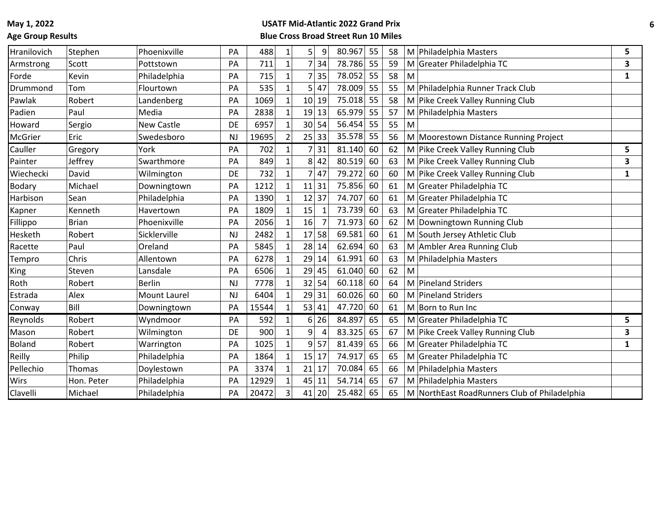## **Age Group Results**

| Hranilovich   | Stephen      | Phoenixville        | PA        | 488   | $\mathbf{1}$ | 5               | 9              | 80.967 | 55 | 58 | M Philadelphia Masters                       | 5            |
|---------------|--------------|---------------------|-----------|-------|--------------|-----------------|----------------|--------|----|----|----------------------------------------------|--------------|
| Armstrong     | Scott        | Pottstown           | PA        | 711   |              | 7               | 34             | 78.786 | 55 | 59 | M<br>Greater Philadelphia TC                 | 3            |
| Forde         | Kevin        | Philadelphia        | PA        | 715   |              | 7               | 35             | 78.052 | 55 | 58 | M                                            | $\mathbf{1}$ |
| Drummond      | Tom          | Flourtown           | PA        | 535   |              | 5               | 47             | 78.009 | 55 | 55 | M<br>Philadelphia Runner Track Club          |              |
| Pawlak        | Robert       | Landenberg          | PA        | 1069  |              | 10 <sup>1</sup> | 19             | 75.018 | 55 | 58 | M Pike Creek Valley Running Club             |              |
| Padien        | Paul         | Media               | PA        | 2838  |              | 19              | 13             | 65.979 | 55 | 57 | M Philadelphia Masters                       |              |
| Howard        | Sergio       | New Castle          | DE        | 6957  |              | 30 <sup>2</sup> | 54             | 56.454 | 55 | 55 | M                                            |              |
| McGrier       | Eric         | Swedesboro          | <b>NJ</b> | 19695 |              |                 | 25 33          | 35.578 | 55 | 56 | M Moorestown Distance Running Project        |              |
| Cauller       | Gregory      | York                | PA        | 702   | $\mathbf{1}$ | 7               | 31             | 81.140 | 60 | 62 | M Pike Creek Valley Running Club             | 5            |
| Painter       | Jeffrey      | Swarthmore          | PA        | 849   |              | 8               | 42             | 80.519 | 60 | 63 | M Pike Creek Valley Running Club             | 3            |
| Wiechecki     | David        | Wilmington          | DE        | 732   |              | 7               | 47             | 79.272 | 60 | 60 | M Pike Creek Valley Running Club             | $\mathbf{1}$ |
| <b>Bodary</b> | Michael      | Downingtown         | PA        | 1212  |              | 11              | 31             | 75.856 | 60 | 61 | M Greater Philadelphia TC                    |              |
| Harbison      | Sean         | Philadelphia        | PA        | 1390  |              | 12              | 37             | 74.707 | 60 | 61 | M Greater Philadelphia TC                    |              |
| Kapner        | Kenneth      | Havertown           | PA        | 1809  |              | 15              |                | 73.739 | 60 | 63 | M Greater Philadelphia TC                    |              |
| Fillippo      | <b>Brian</b> | Phoenixville        | PA        | 2056  |              | 16              |                | 71.973 | 60 | 62 | M Downingtown Running Club                   |              |
| Hesketh       | Robert       | Sicklerville        | <b>NJ</b> | 2482  |              | 17              | 58             | 69.581 | 60 | 61 | M South Jersey Athletic Club                 |              |
| Racette       | Paul         | Oreland             | PA        | 5845  |              | 28              | 14             | 62.694 | 60 | 63 | M Ambler Area Running Club                   |              |
| Tempro        | Chris        | Allentown           | PA        | 6278  |              | 29              | 14             | 61.991 | 60 | 63 | M Philadelphia Masters                       |              |
| <b>King</b>   | Steven       | Lansdale            | PA        | 6506  |              | 29              | 45             | 61.040 | 60 | 62 | M                                            |              |
| Roth          | Robert       | <b>Berlin</b>       | <b>NJ</b> | 7778  |              | 32              | 54             | 60.118 | 60 | 64 | M<br><b>Pineland Striders</b>                |              |
| Estrada       | Alex         | <b>Mount Laurel</b> | <b>NJ</b> | 6404  |              | 29              | 31             | 60.026 | 60 | 60 | M Pineland Striders                          |              |
| Conway        | Bill         | Downingtown         | PA        | 15544 |              |                 | 53 41          | 47.720 | 60 | 61 | M Born to Run Inc                            |              |
| Reynolds      | Robert       | Wyndmoor            | PA        | 592   |              | $6 \mid$        | 26             | 84.897 | 65 | 65 | M Greater Philadelphia TC                    | 5            |
| Mason         | Robert       | Wilmington          | DE        | 900   |              | 9               | $\overline{4}$ | 83.325 | 65 | 67 | M Pike Creek Valley Running Club             | 3            |
| <b>Boland</b> | Robert       | Warrington          | PA        | 1025  |              | 9               | 57             | 81.439 | 65 | 66 | M Greater Philadelphia TC                    | 1            |
| Reilly        | Philip       | Philadelphia        | PA        | 1864  |              | 15              | 17             | 74.917 | 65 | 65 | M Greater Philadelphia TC                    |              |
| Pellechio     | Thomas       | Doylestown          | PA        | 3374  |              | 21              | 17             | 70.084 | 65 | 66 | M Philadelphia Masters                       |              |
| Wirs          | Hon. Peter   | Philadelphia        | PA        | 12929 |              | 45              | 11             | 54.714 | 65 | 67 | M Philadelphia Masters                       |              |
| Clavelli      | Michael      | Philadelphia        | PA        | 20472 |              | 41              | 20             | 25.482 | 65 | 65 | M NorthEast RoadRunners Club of Philadelphia |              |